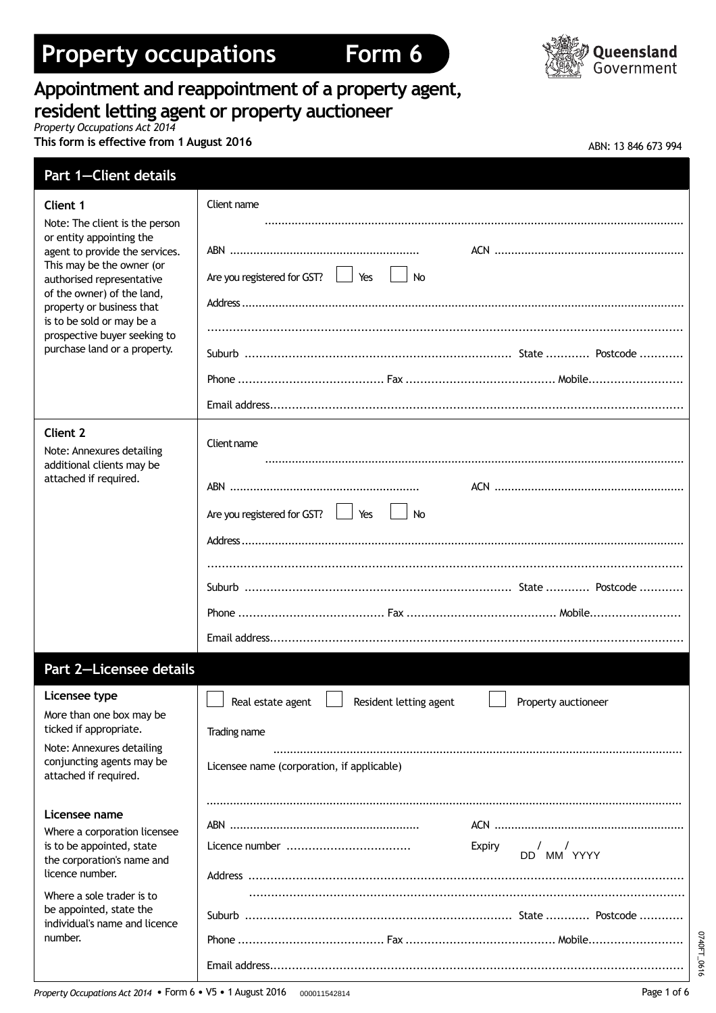# **Property occupations Form 6**





## **Appointment and reappointment of a property agent, resident letting agent or property auctioneer**

*Property Occupations Act 2014*

**This** form is effective from 1 August 2016

| ABN: 13 846 673 994 |  |  |
|---------------------|--|--|
|                     |  |  |

| <b>Part 1-Client details</b>                                                                                                                                                         |                                                                                      |
|--------------------------------------------------------------------------------------------------------------------------------------------------------------------------------------|--------------------------------------------------------------------------------------|
| Client 1                                                                                                                                                                             | Client name                                                                          |
| Note: The client is the person<br>or entity appointing the<br>agent to provide the services.<br>This may be the owner (or<br>authorised representative<br>of the owner) of the land, | Are you registered for GST?<br>$\overline{\phantom{a}}$ No                           |
| property or business that<br>is to be sold or may be a<br>prospective buyer seeking to                                                                                               |                                                                                      |
| purchase land or a property.                                                                                                                                                         |                                                                                      |
|                                                                                                                                                                                      |                                                                                      |
| <b>Client 2</b><br>Note: Annexures detailing                                                                                                                                         | Client name                                                                          |
| additional clients may be<br>attached if required.                                                                                                                                   | Are you registered for GST?<br>$\overline{\phantom{a}}$ No                           |
|                                                                                                                                                                                      |                                                                                      |
|                                                                                                                                                                                      |                                                                                      |
|                                                                                                                                                                                      |                                                                                      |
|                                                                                                                                                                                      |                                                                                      |
| Part 2-Licensee details                                                                                                                                                              |                                                                                      |
| Licensee type<br>More than one box may be                                                                                                                                            | $\Box$ Real estate agent $\Box$ Resident letting agent $\Box$<br>Property auctioneer |
| ticked if appropriate.<br>Note: Annexures detailing                                                                                                                                  | Trading name                                                                         |
| conjuncting agents may be<br>attached if required.                                                                                                                                   | Licensee name (corporation, if applicable)                                           |
| Licensee name<br>Where a corporation licensee<br>is to be appointed, state<br>the corporation's name and<br>licence number.                                                          |                                                                                      |
|                                                                                                                                                                                      | Licence number<br>Expiry<br>DD MM YYYY                                               |
| Where a sole trader is to<br>be appointed, state the<br>individual's name and licence                                                                                                |                                                                                      |
| number.                                                                                                                                                                              |                                                                                      |
|                                                                                                                                                                                      |                                                                                      |

0740FT\_0616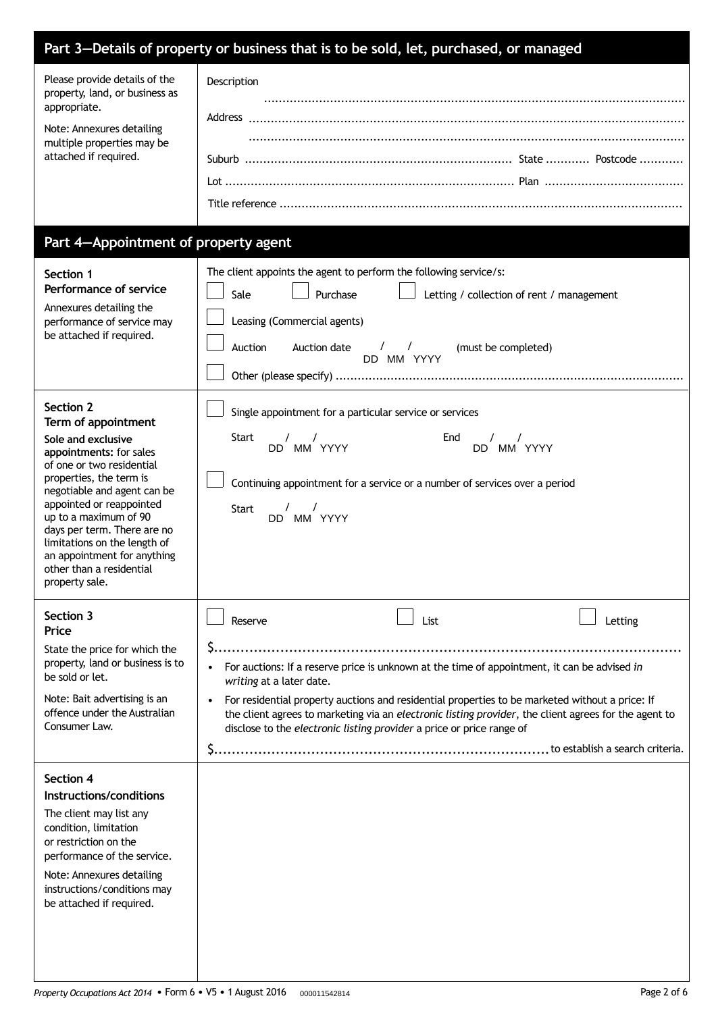|                                                                                                                                                                                                                                                                                                                                                                           | Part 3-Details of property or business that is to be sold, let, purchased, or managed                                                                         |                                                                                                                                                                                                                                                                                                                  |         |
|---------------------------------------------------------------------------------------------------------------------------------------------------------------------------------------------------------------------------------------------------------------------------------------------------------------------------------------------------------------------------|---------------------------------------------------------------------------------------------------------------------------------------------------------------|------------------------------------------------------------------------------------------------------------------------------------------------------------------------------------------------------------------------------------------------------------------------------------------------------------------|---------|
| Please provide details of the<br>property, land, or business as<br>appropriate.<br>Note: Annexures detailing<br>multiple properties may be<br>attached if required.                                                                                                                                                                                                       | Description                                                                                                                                                   |                                                                                                                                                                                                                                                                                                                  |         |
| Part 4-Appointment of property agent                                                                                                                                                                                                                                                                                                                                      |                                                                                                                                                               |                                                                                                                                                                                                                                                                                                                  |         |
| Section 1<br>Performance of service<br>Annexures detailing the<br>performance of service may<br>be attached if required.                                                                                                                                                                                                                                                  | The client appoints the agent to perform the following service/s:<br>Purchase<br>Sale<br>Leasing (Commercial agents)<br>Auction<br>Auction date               | Letting / collection of rent / management<br>$\frac{1}{2}$<br>(must be completed)<br>DD MM YYYY                                                                                                                                                                                                                  |         |
| Section 2<br>Term of appointment<br>Sole and exclusive<br>appointments: for sales<br>of one or two residential<br>properties, the term is<br>negotiable and agent can be<br>appointed or reappointed<br>up to a maximum of 90<br>days per term. There are no<br>limitations on the length of<br>an appointment for anything<br>other than a residential<br>property sale. | Single appointment for a particular service or services<br><b>Start</b><br>$\sqrt{2}$<br>$\sqrt{2}$<br>DD MM YYYY<br>$\sqrt{ }$<br><b>Start</b><br>DD MM YYYY | End<br>$\sqrt{ }$<br>DD MM YYYY<br>Continuing appointment for a service or a number of services over a period                                                                                                                                                                                                    |         |
| Section 3<br>Price<br>State the price for which the<br>property, land or business is to<br>be sold or let.<br>Note: Bait advertising is an<br>offence under the Australian<br>Consumer Law.                                                                                                                                                                               | Reserve<br>writing at a later date.<br>disclose to the electronic listing provider a price or price range of                                                  | List<br>For auctions: If a reserve price is unknown at the time of appointment, it can be advised in<br>For residential property auctions and residential properties to be marketed without a price: If<br>the client agrees to marketing via an electronic listing provider, the client agrees for the agent to | Letting |
| Section 4<br>Instructions/conditions<br>The client may list any<br>condition, limitation<br>or restriction on the<br>performance of the service.<br>Note: Annexures detailing<br>instructions/conditions may<br>be attached if required.                                                                                                                                  |                                                                                                                                                               |                                                                                                                                                                                                                                                                                                                  |         |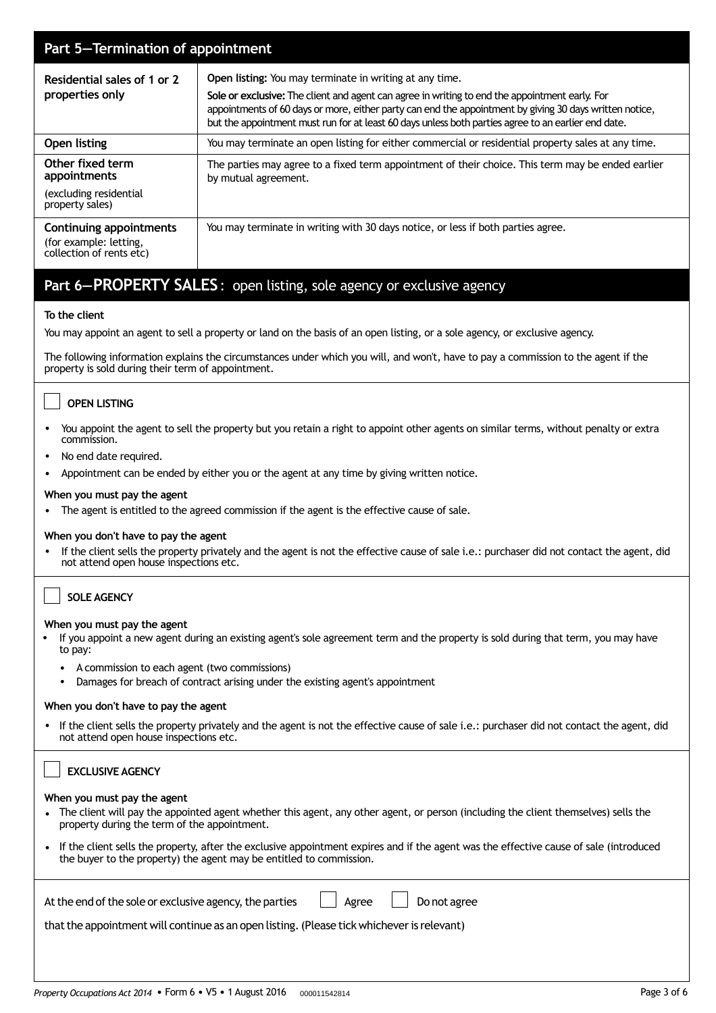| Part 5-Termination of appointment                                             |                                                                                                                                                                                                                                                                                                                                                                                    |  |  |  |
|-------------------------------------------------------------------------------|------------------------------------------------------------------------------------------------------------------------------------------------------------------------------------------------------------------------------------------------------------------------------------------------------------------------------------------------------------------------------------|--|--|--|
| Residential sales of 1 or 2<br>properties only                                | <b>Open listing:</b> You may terminate in writing at any time.<br>Sole or exclusive: The client and agent can agree in writing to end the appointment early. For<br>appointments of 60 days or more, either party can end the appointment by giving 30 days written notice,<br>but the appointment must run for at least 60 days unless both parties agree to an earlier end date. |  |  |  |
| Open listing                                                                  | You may terminate an open listing for either commercial or residential property sales at any time.                                                                                                                                                                                                                                                                                 |  |  |  |
| Other fixed term<br>appointments<br>(excluding residential<br>property sales) | The parties may agree to a fixed term appointment of their choice. This term may be ended earlier<br>by mutual agreement.                                                                                                                                                                                                                                                          |  |  |  |
| Continuing appointments<br>(for example: letting,<br>collection of rents etc) | You may terminate in writing with 30 days notice, or less if both parties agree.                                                                                                                                                                                                                                                                                                   |  |  |  |

## **Part 6—PROPERTY SALES**: open listing, sole agency or exclusive agency

#### **To the client**

You may appoint an agent to sell a property or land on the basis of an open listing, or a sole agency, or exclusive agency.

The following information explains the circumstances under which you will, and won't, have to pay a commission to the agent if the property is sold during their term of appointment.

#### **OPEN LISTING**

- You appoint the agent to sell the property but you retain a right to appoint other agents on similar terms, without penalty or extra commission.
- No end date required.
- Appointment can be ended by either you or the agent at any time by giving written notice.

#### **When you must pay the agent**

• The agent is entitled to the agreed commission if the agent is the effective cause of sale.

#### **When you don't have to pay the agent**

• If the client sells the property privately and the agent is not the effective cause of sale i.e.: purchaser did not contact the agent, did not attend open house inspections etc.

#### **SOLE AGENCY**

#### **When you must pay the agent**

- If you appoint a new agent during an existing agent's sole agreement term and the property is sold during that term, you may have to pay:
	- A commission to each agent (two commissions)
	- Damages for breach of contract arising under the existing agent's appointment

#### **When you don't have to pay the agent**

• If the client sells the property privately and the agent is not the effective cause of sale i.e.: purchaser did not contact the agent, did not attend open house inspections etc.

| <b>EXCLUSIVE AGENCY</b>                                                                                                                                                                                             |  |  |
|---------------------------------------------------------------------------------------------------------------------------------------------------------------------------------------------------------------------|--|--|
| When you must pay the agent<br>• The client will pay the appointed agent whether this agent, any other agent, or person (including the client themselves) sells the<br>property during the term of the appointment. |  |  |
| • If the client sells the property, after the exclusive appointment expires and if the agent was the effective cause of sale (introduced<br>the buyer to the property) the agent may be entitled to commission.     |  |  |
| At the end of the sole or exclusive agency, the parties<br>Do not agree<br>Agree<br>that the appointment will continue as an open listing. (Please tick whichever is relevant)                                      |  |  |
|                                                                                                                                                                                                                     |  |  |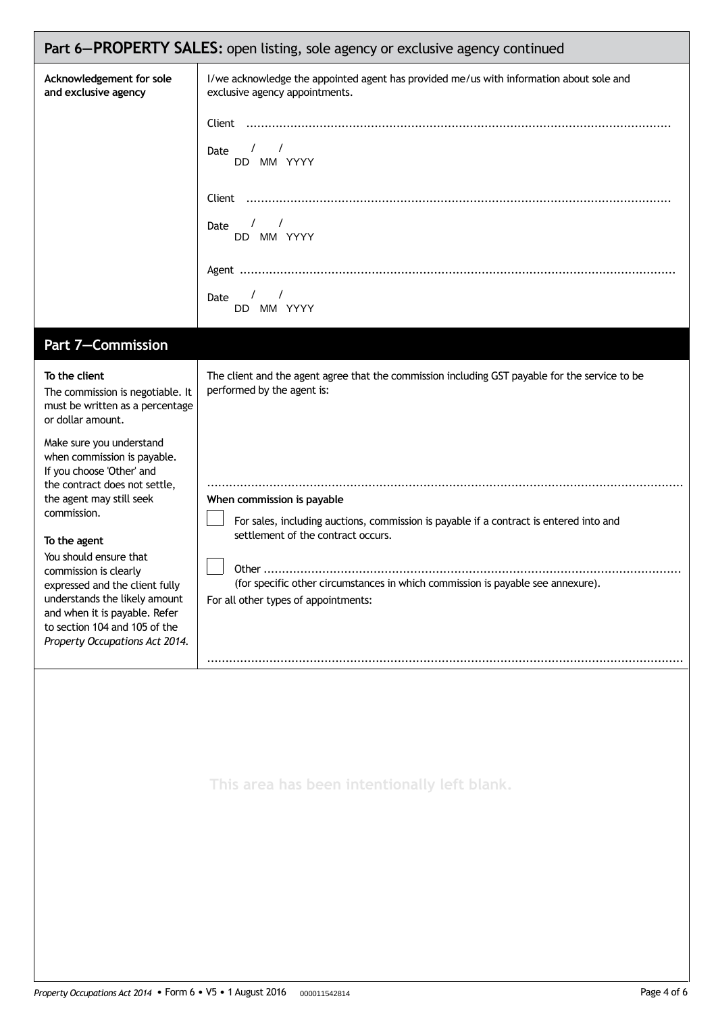| Part 6-PROPERTY SALES: open listing, sole agency or exclusive agency continued                                                                                                                                                                                                                                                                                                                                                                                                                                          |                                                                                                                                                                                                                                                                                                                                                                                                                       |  |  |  |  |
|-------------------------------------------------------------------------------------------------------------------------------------------------------------------------------------------------------------------------------------------------------------------------------------------------------------------------------------------------------------------------------------------------------------------------------------------------------------------------------------------------------------------------|-----------------------------------------------------------------------------------------------------------------------------------------------------------------------------------------------------------------------------------------------------------------------------------------------------------------------------------------------------------------------------------------------------------------------|--|--|--|--|
| Acknowledgement for sole<br>and exclusive agency                                                                                                                                                                                                                                                                                                                                                                                                                                                                        | I/we acknowledge the appointed agent has provided me/us with information about sole and<br>exclusive agency appointments.<br>$\sqrt{1}$<br>Date<br>DD MM YYYY<br>$\frac{1}{2}$<br>Date<br>DD MM YYYY<br>$\sqrt{2}$<br>Date<br>DD MM YYYY                                                                                                                                                                              |  |  |  |  |
| Part 7-Commission                                                                                                                                                                                                                                                                                                                                                                                                                                                                                                       |                                                                                                                                                                                                                                                                                                                                                                                                                       |  |  |  |  |
| To the client<br>The commission is negotiable. It<br>must be written as a percentage<br>or dollar amount.<br>Make sure you understand<br>when commission is payable.<br>If you choose 'Other' and<br>the contract does not settle,<br>the agent may still seek<br>commission.<br>To the agent<br>You should ensure that<br>commission is clearly<br>expressed and the client fully<br>understands the likely amount<br>and when it is payable. Refer<br>to section 104 and 105 of the<br>Property Occupations Act 2014. | The client and the agent agree that the commission including GST payable for the service to be<br>performed by the agent is:<br>When commission is payable<br>For sales, including auctions, commission is payable if a contract is entered into and<br>settlement of the contract occurs.<br>(for specific other circumstances in which commission is payable see annexure).<br>For all other types of appointments: |  |  |  |  |
|                                                                                                                                                                                                                                                                                                                                                                                                                                                                                                                         | This area has been intentionally left blank.                                                                                                                                                                                                                                                                                                                                                                          |  |  |  |  |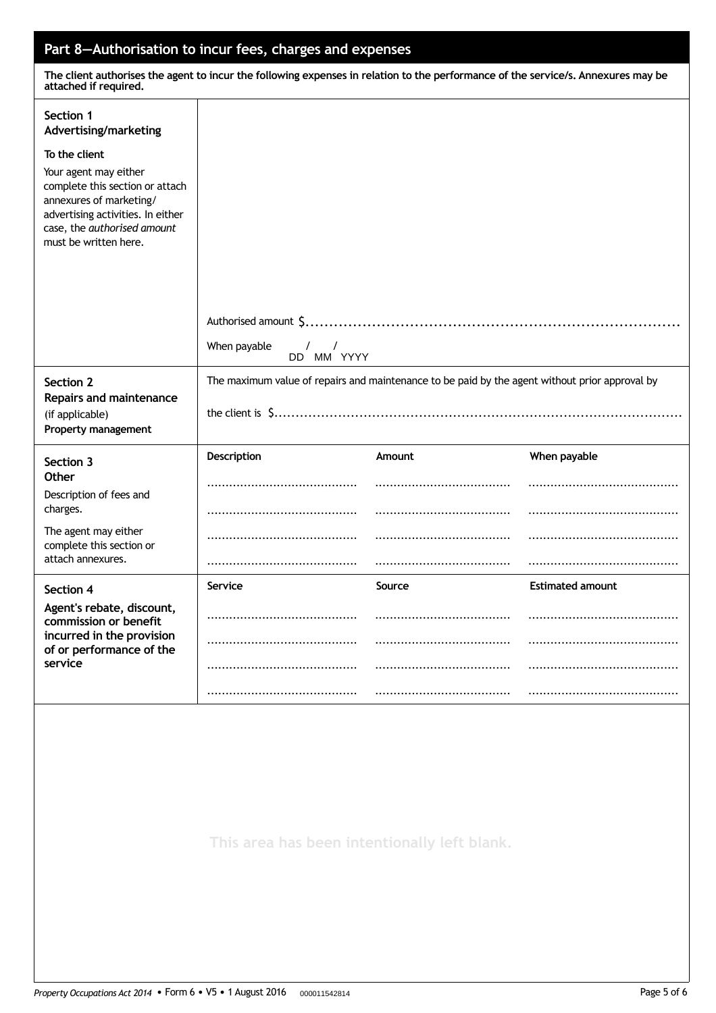### **Part 8—Authorisation to incur fees, charges and expenses**

The client authorises the agent to incur the following expenses in relation to the performance of the service/s. Annexures may be **attached if required.**

| Section 1<br>Advertising/marketing                                                                                                                                               |                                                                                                |        |                         |  |
|----------------------------------------------------------------------------------------------------------------------------------------------------------------------------------|------------------------------------------------------------------------------------------------|--------|-------------------------|--|
| To the client                                                                                                                                                                    |                                                                                                |        |                         |  |
| Your agent may either<br>complete this section or attach<br>annexures of marketing/<br>advertising activities. In either<br>case, the authorised amount<br>must be written here. |                                                                                                |        |                         |  |
|                                                                                                                                                                                  |                                                                                                |        |                         |  |
|                                                                                                                                                                                  |                                                                                                |        |                         |  |
|                                                                                                                                                                                  |                                                                                                |        |                         |  |
|                                                                                                                                                                                  | When payable<br>$\sqrt{2}$<br>$\sqrt{ }$<br>DD MM YYYY                                         |        |                         |  |
| Section 2<br>Repairs and maintenance                                                                                                                                             | The maximum value of repairs and maintenance to be paid by the agent without prior approval by |        |                         |  |
| (if applicable)<br>Property management                                                                                                                                           |                                                                                                |        |                         |  |
| Section 3                                                                                                                                                                        | Description                                                                                    | Amount | When payable            |  |
| Other<br>Description of fees and                                                                                                                                                 |                                                                                                |        |                         |  |
| charges.                                                                                                                                                                         |                                                                                                |        |                         |  |
| The agent may either<br>complete this section or                                                                                                                                 |                                                                                                |        |                         |  |
| attach annexures.                                                                                                                                                                |                                                                                                |        |                         |  |
| Section 4                                                                                                                                                                        | Service                                                                                        | Source | <b>Estimated amount</b> |  |
| Agent's rebate, discount,<br>commission or benefit                                                                                                                               |                                                                                                |        |                         |  |
| incurred in the provision<br>of or performance of the                                                                                                                            |                                                                                                |        |                         |  |
| service                                                                                                                                                                          |                                                                                                |        |                         |  |
|                                                                                                                                                                                  |                                                                                                |        |                         |  |
|                                                                                                                                                                                  |                                                                                                |        |                         |  |
|                                                                                                                                                                                  |                                                                                                |        |                         |  |

**This area has been intentionally left blank.**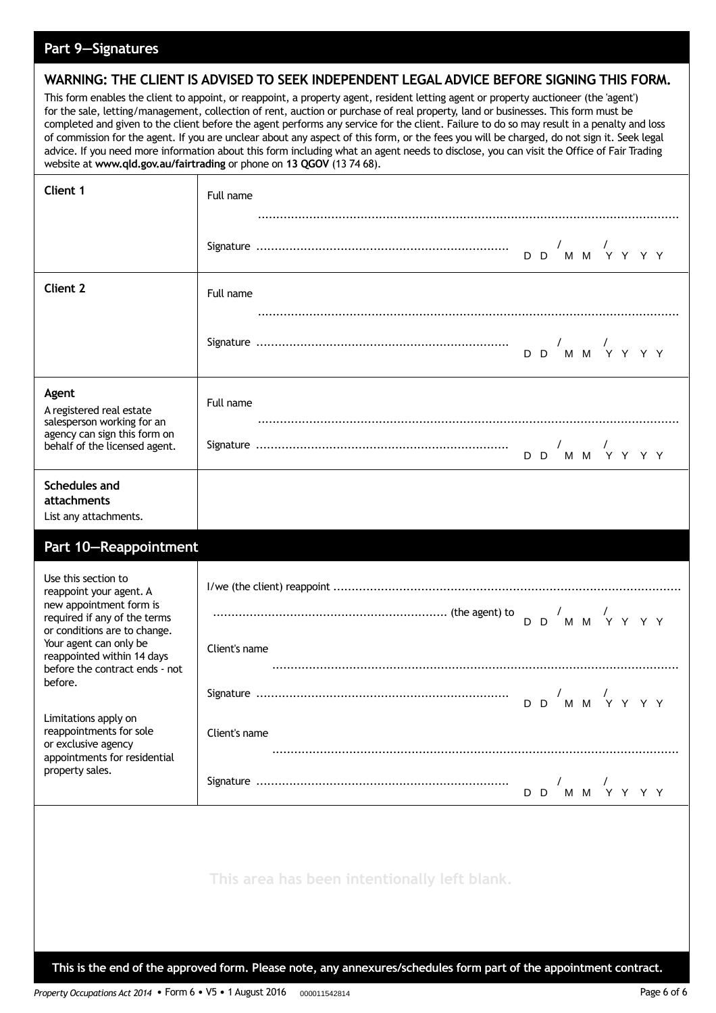### **Part 9—Signatures**

### **WARNING: THE CLIENT IS ADVISED TO SEEK INDEPENDENT LEGAL ADVICE BEFORE SIGNING THIS FORM.**

This form enables the client to appoint, or reappoint, a property agent, resident letting agent or property auctioneer (the 'agent') for the sale, letting/management, collection of rent, auction or purchase of real property, land or businesses. This form must be completed and given to the client before the agent performs any service for the client. Failure to do so may result in a penalty and loss of commission for the agent. If you are unclear about any aspect of this form, or the fees you will be charged, do not sign it. Seek legal advice. If you need more information about this form including what an agent needs to disclose, you can visit the Office of Fair Trading website at **www.qld.gov.au/fairtrading** or phone on **13 QGOV** (13 74 68).

| Client 1                                                                                                                                  | Full name                                    |
|-------------------------------------------------------------------------------------------------------------------------------------------|----------------------------------------------|
|                                                                                                                                           |                                              |
| <b>Client 2</b>                                                                                                                           | Full name                                    |
|                                                                                                                                           |                                              |
| Agent<br>A registered real estate<br>salesperson working for an                                                                           | Full name                                    |
| agency can sign this form on<br>behalf of the licensed agent.                                                                             | D D M M Y Y Y Y                              |
| <b>Schedules and</b><br>attachments<br>List any attachments.                                                                              |                                              |
| Part 10-Reappointment                                                                                                                     |                                              |
| Use this section to<br>reappoint your agent. A<br>new appointment form is<br>required if any of the terms<br>or conditions are to change. |                                              |
| Your agent can only be<br>reappointed within 14 days<br>before the contract ends - not                                                    | Client's name                                |
| before.                                                                                                                                   | D D M M Y Y Y Y                              |
| Limitations apply on<br>reappointments for sole<br>or exclusive agency<br>appointments for residential                                    | Client's name                                |
| property sales.                                                                                                                           | M M Y Y Y Y<br>D D                           |
|                                                                                                                                           |                                              |
|                                                                                                                                           | This area has been intentionally left blank. |

This is the end of the approved form. Please note, any annexures/schedules form part of the appointment contract.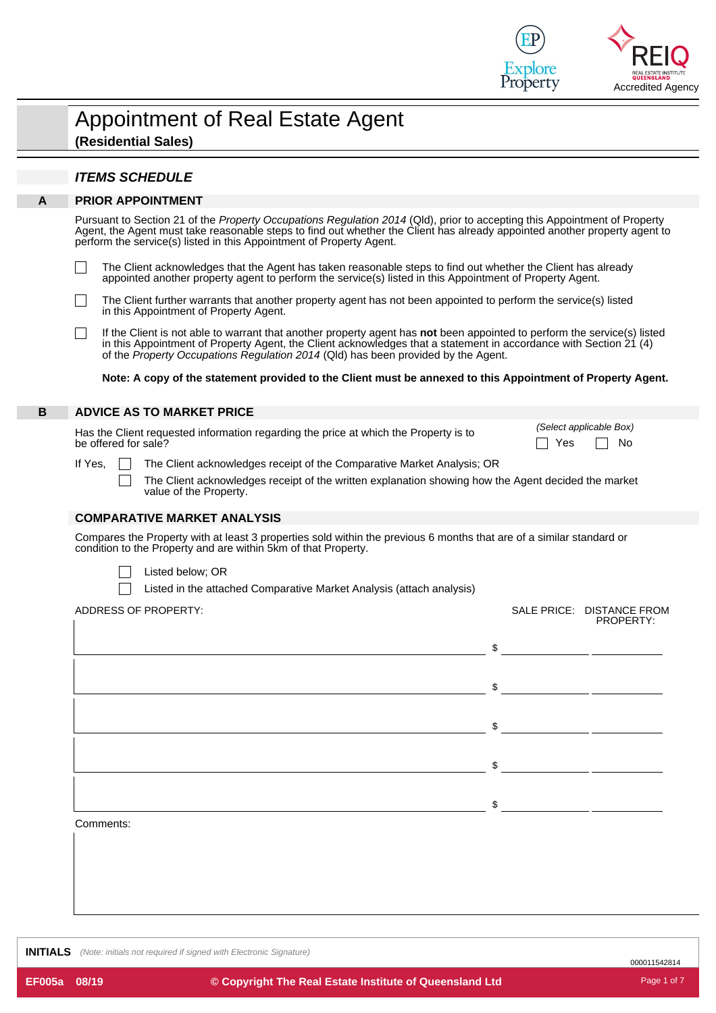

|   | <b>Appointment of Real Estate Agent</b><br>(Residential Sales) |
|---|----------------------------------------------------------------|
|   | <b>ITEMS SCHEDULE</b>                                          |
| А | <b>PRIOR APPOINTMENT</b>                                       |

Pursuant to Section 21 of the *Property Occupations Regulation 2014* (Qld), prior to accepting this Appointment of Property Agent, the Agent must take reasonable steps to find out whether the Client has already appointed another property agent to perform the service(s) listed in this Appointment of Property Agent.

The Client acknowledges that the Agent has taken reasonable steps to find out whether the Client has already appointed another property agent to perform the service(s) listed in this Appointment of Property Agent.

The Client further warrants that another property agent has not been appointed to perform the service(s) listed in this Appointment of Property Agent.

If the Client is not able to warrant that another property agent has **not** been appointed to perform the service(s) listed in this Appointment of Property Agent, the Client acknowledges that a statement in accordance with Section 21 (4) of the *Property Occupations Regulation 2014* (Qld) has been provided by the Agent.

Note: A copy of the statement provided to the Client must be annexed to this Appointment of Property Agent.

#### **B ADVICE AS TO MARKET PRICE**

 $\Box$ 

 $\Box$ 

 $\Box$ 

Has the Client requested information regarding the price at which the Property is to be offered for sale? No content to the offered for sale?

*(Select applicable Box)*

If Yes,  $\Box$  The Client acknowledges receipt of the Comparative Market Analysis; OR

The Client acknowledges receipt of the written explanation showing how the Agent decided the market value of the Property.

#### **COMPARATIVE MARKET ANALYSIS**

Compares the Property with at least 3 properties sold within the previous 6 months that are of a similar standard or condition to the Property and are within 5km of that Property.

| Listed below; OR |  |
|------------------|--|
|------------------|--|

Listed in the attached Comparative Market Analysis (attach analysis)

ADDRESS OF PROPERTY: SALE PRICE: DISTANCE FROM

|           |               | PROPERTY:                                                                                                            |
|-----------|---------------|----------------------------------------------------------------------------------------------------------------------|
|           | $\frac{1}{2}$ | <u> 1989 - Jan Jawa Barat, prima prima prima prima prima prima prima prima prima prima prima prima prima prima p</u> |
|           |               |                                                                                                                      |
|           | $\frac{1}{2}$ |                                                                                                                      |
|           | \$            |                                                                                                                      |
|           |               |                                                                                                                      |
|           | \$            |                                                                                                                      |
|           |               |                                                                                                                      |
|           | \$            |                                                                                                                      |
| Comments: |               |                                                                                                                      |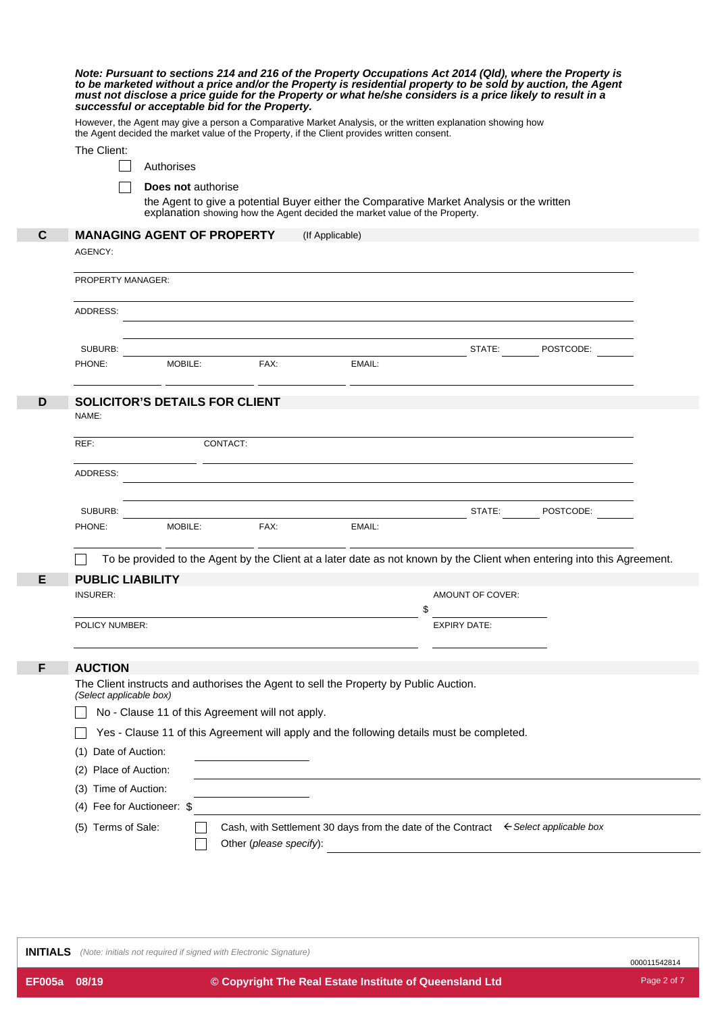| Note: Pursuant to sections 214 and 216 of the Property Occupations Act 2014 (Qld), where the Property is<br>to be marketed without a price and/or the Property is residential property to be sold by auction, the Agent<br>must not disclose a price guide for the Property or what he/she considers is a price likely to result in a<br>successful or acceptable bid for the Property. |                            |                                                                                                                                                                                                                                |                         |                                                                                       |                                                                                                                         |                  |  |  |
|-----------------------------------------------------------------------------------------------------------------------------------------------------------------------------------------------------------------------------------------------------------------------------------------------------------------------------------------------------------------------------------------|----------------------------|--------------------------------------------------------------------------------------------------------------------------------------------------------------------------------------------------------------------------------|-------------------------|---------------------------------------------------------------------------------------|-------------------------------------------------------------------------------------------------------------------------|------------------|--|--|
|                                                                                                                                                                                                                                                                                                                                                                                         |                            | However, the Agent may give a person a Comparative Market Analysis, or the written explanation showing how<br>the Agent decided the market value of the Property, if the Client provides written consent.                      |                         |                                                                                       |                                                                                                                         |                  |  |  |
|                                                                                                                                                                                                                                                                                                                                                                                         | The Client:                |                                                                                                                                                                                                                                |                         |                                                                                       |                                                                                                                         |                  |  |  |
|                                                                                                                                                                                                                                                                                                                                                                                         |                            | Authorises                                                                                                                                                                                                                     |                         |                                                                                       |                                                                                                                         |                  |  |  |
|                                                                                                                                                                                                                                                                                                                                                                                         |                            | <b>Does not authorise</b>                                                                                                                                                                                                      |                         |                                                                                       |                                                                                                                         |                  |  |  |
|                                                                                                                                                                                                                                                                                                                                                                                         |                            |                                                                                                                                                                                                                                |                         |                                                                                       | the Agent to give a potential Buyer either the Comparative Market Analysis or the written                               |                  |  |  |
|                                                                                                                                                                                                                                                                                                                                                                                         |                            |                                                                                                                                                                                                                                |                         | explanation showing how the Agent decided the market value of the Property.           |                                                                                                                         |                  |  |  |
| C                                                                                                                                                                                                                                                                                                                                                                                       |                            | <b>MANAGING AGENT OF PROPERTY</b>                                                                                                                                                                                              |                         | (If Applicable)                                                                       |                                                                                                                         |                  |  |  |
|                                                                                                                                                                                                                                                                                                                                                                                         | AGENCY:                    |                                                                                                                                                                                                                                |                         |                                                                                       |                                                                                                                         |                  |  |  |
|                                                                                                                                                                                                                                                                                                                                                                                         | PROPERTY MANAGER:          |                                                                                                                                                                                                                                |                         |                                                                                       |                                                                                                                         |                  |  |  |
|                                                                                                                                                                                                                                                                                                                                                                                         | ADDRESS:                   |                                                                                                                                                                                                                                |                         |                                                                                       |                                                                                                                         |                  |  |  |
|                                                                                                                                                                                                                                                                                                                                                                                         |                            |                                                                                                                                                                                                                                |                         |                                                                                       |                                                                                                                         |                  |  |  |
|                                                                                                                                                                                                                                                                                                                                                                                         | SUBURB:                    |                                                                                                                                                                                                                                |                         |                                                                                       |                                                                                                                         | STATE: POSTCODE: |  |  |
|                                                                                                                                                                                                                                                                                                                                                                                         | PHONE:                     | MOBILE:                                                                                                                                                                                                                        | FAX:                    | EMAIL:                                                                                |                                                                                                                         |                  |  |  |
|                                                                                                                                                                                                                                                                                                                                                                                         |                            |                                                                                                                                                                                                                                |                         |                                                                                       |                                                                                                                         |                  |  |  |
| D                                                                                                                                                                                                                                                                                                                                                                                       |                            | <b>SOLICITOR'S DETAILS FOR CLIENT</b>                                                                                                                                                                                          |                         |                                                                                       |                                                                                                                         |                  |  |  |
|                                                                                                                                                                                                                                                                                                                                                                                         | NAME:                      |                                                                                                                                                                                                                                |                         |                                                                                       |                                                                                                                         |                  |  |  |
|                                                                                                                                                                                                                                                                                                                                                                                         | REF:                       | CONTACT:                                                                                                                                                                                                                       |                         |                                                                                       |                                                                                                                         |                  |  |  |
|                                                                                                                                                                                                                                                                                                                                                                                         | ADDRESS:                   |                                                                                                                                                                                                                                |                         |                                                                                       | ,我们也不会有什么。""我们的人,我们也不会有什么?""我们的人,我们也不会有什么?""我们的人,我们也不会有什么?""我们的人,我们也不会有什么?""我们的人                                        |                  |  |  |
|                                                                                                                                                                                                                                                                                                                                                                                         | SUBURB:                    |                                                                                                                                                                                                                                |                         | <u> 1980 - Johann Barn, fransk politik (f. 1980)</u>                                  |                                                                                                                         | STATE: POSTCODE: |  |  |
|                                                                                                                                                                                                                                                                                                                                                                                         | PHONE:                     | MOBILE: And the state of the state of the state of the state of the state of the state of the state of the state of the state of the state of the state of the state of the state of the state of the state of the state of th | FAX:                    | EMAIL:                                                                                |                                                                                                                         |                  |  |  |
|                                                                                                                                                                                                                                                                                                                                                                                         |                            |                                                                                                                                                                                                                                |                         |                                                                                       | To be provided to the Agent by the Client at a later date as not known by the Client when entering into this Agreement. |                  |  |  |
| E                                                                                                                                                                                                                                                                                                                                                                                       | <b>PUBLIC LIABILITY</b>    |                                                                                                                                                                                                                                |                         |                                                                                       |                                                                                                                         |                  |  |  |
|                                                                                                                                                                                                                                                                                                                                                                                         | <b>INSURER:</b>            |                                                                                                                                                                                                                                |                         |                                                                                       | AMOUNT OF COVER:                                                                                                        |                  |  |  |
|                                                                                                                                                                                                                                                                                                                                                                                         | POLICY NUMBER:             |                                                                                                                                                                                                                                |                         |                                                                                       | \$<br><b>EXPIRY DATE:</b>                                                                                               |                  |  |  |
|                                                                                                                                                                                                                                                                                                                                                                                         |                            |                                                                                                                                                                                                                                |                         |                                                                                       |                                                                                                                         |                  |  |  |
| F                                                                                                                                                                                                                                                                                                                                                                                       | <b>AUCTION</b>             |                                                                                                                                                                                                                                |                         |                                                                                       |                                                                                                                         |                  |  |  |
|                                                                                                                                                                                                                                                                                                                                                                                         | (Select applicable box)    |                                                                                                                                                                                                                                |                         | The Client instructs and authorises the Agent to sell the Property by Public Auction. |                                                                                                                         |                  |  |  |
|                                                                                                                                                                                                                                                                                                                                                                                         |                            | No - Clause 11 of this Agreement will not apply.                                                                                                                                                                               |                         |                                                                                       |                                                                                                                         |                  |  |  |
|                                                                                                                                                                                                                                                                                                                                                                                         |                            |                                                                                                                                                                                                                                |                         |                                                                                       | Yes - Clause 11 of this Agreement will apply and the following details must be completed.                               |                  |  |  |
|                                                                                                                                                                                                                                                                                                                                                                                         | Date of Auction:           |                                                                                                                                                                                                                                |                         |                                                                                       |                                                                                                                         |                  |  |  |
|                                                                                                                                                                                                                                                                                                                                                                                         | Place of Auction:<br>(2)   |                                                                                                                                                                                                                                |                         |                                                                                       |                                                                                                                         |                  |  |  |
|                                                                                                                                                                                                                                                                                                                                                                                         | (3) Time of Auction:       |                                                                                                                                                                                                                                |                         |                                                                                       |                                                                                                                         |                  |  |  |
|                                                                                                                                                                                                                                                                                                                                                                                         | (4) Fee for Auctioneer: \$ |                                                                                                                                                                                                                                |                         |                                                                                       |                                                                                                                         |                  |  |  |
|                                                                                                                                                                                                                                                                                                                                                                                         | (5) Terms of Sale:         |                                                                                                                                                                                                                                |                         |                                                                                       | Cash, with Settlement 30 days from the date of the Contract $\epsilon$ Select applicable box                            |                  |  |  |
|                                                                                                                                                                                                                                                                                                                                                                                         |                            |                                                                                                                                                                                                                                | Other (please specify): |                                                                                       |                                                                                                                         |                  |  |  |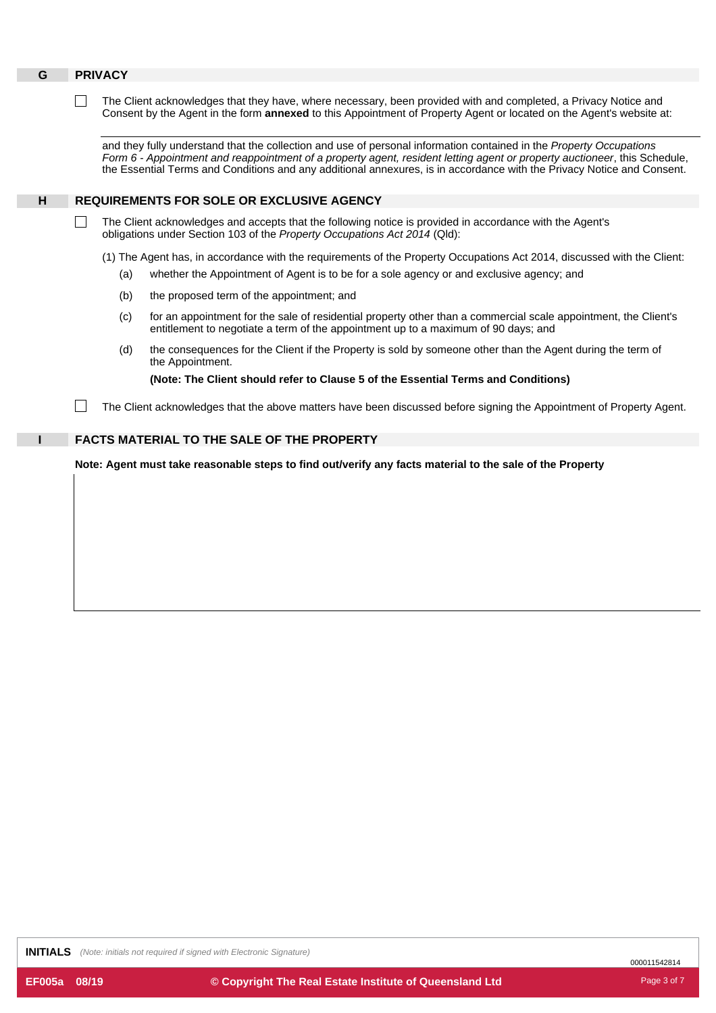| G | <b>PRIVACY</b>                                                                                           |                                                                                                                                                                                                                                                                                                                                                                            |  |  |  |  |  |  |  |
|---|----------------------------------------------------------------------------------------------------------|----------------------------------------------------------------------------------------------------------------------------------------------------------------------------------------------------------------------------------------------------------------------------------------------------------------------------------------------------------------------------|--|--|--|--|--|--|--|
|   |                                                                                                          | The Client acknowledges that they have, where necessary, been provided with and completed, a Privacy Notice and<br>Consent by the Agent in the form <b>annexed</b> to this Appointment of Property Agent or located on the Agent's website at:                                                                                                                             |  |  |  |  |  |  |  |
|   |                                                                                                          | and they fully understand that the collection and use of personal information contained in the Property Occupations<br>Form 6 - Appointment and reappointment of a property agent, resident letting agent or property auctioneer, this Schedule,<br>the Essential Terms and Conditions and any additional annexures, is in accordance with the Privacy Notice and Consent. |  |  |  |  |  |  |  |
| H |                                                                                                          | <b>REQUIREMENTS FOR SOLE OR EXCLUSIVE AGENCY</b>                                                                                                                                                                                                                                                                                                                           |  |  |  |  |  |  |  |
|   |                                                                                                          | The Client acknowledges and accepts that the following notice is provided in accordance with the Agent's<br>obligations under Section 103 of the Property Occupations Act 2014 (Qld):                                                                                                                                                                                      |  |  |  |  |  |  |  |
|   |                                                                                                          | (1) The Agent has, in accordance with the requirements of the Property Occupations Act 2014, discussed with the Client:                                                                                                                                                                                                                                                    |  |  |  |  |  |  |  |
|   |                                                                                                          | whether the Appointment of Agent is to be for a sole agency or and exclusive agency; and<br>(a)                                                                                                                                                                                                                                                                            |  |  |  |  |  |  |  |
|   |                                                                                                          | the proposed term of the appointment; and<br>(b)                                                                                                                                                                                                                                                                                                                           |  |  |  |  |  |  |  |
|   |                                                                                                          | for an appointment for the sale of residential property other than a commercial scale appointment, the Client's<br>(c)<br>entitlement to negotiate a term of the appointment up to a maximum of 90 days; and                                                                                                                                                               |  |  |  |  |  |  |  |
|   |                                                                                                          | the consequences for the Client if the Property is sold by someone other than the Agent during the term of<br>(d)<br>the Appointment.                                                                                                                                                                                                                                      |  |  |  |  |  |  |  |
|   |                                                                                                          | (Note: The Client should refer to Clause 5 of the Essential Terms and Conditions)                                                                                                                                                                                                                                                                                          |  |  |  |  |  |  |  |
|   |                                                                                                          | The Client acknowledges that the above matters have been discussed before signing the Appointment of Property Agent.                                                                                                                                                                                                                                                       |  |  |  |  |  |  |  |
|   |                                                                                                          | <b>FACTS MATERIAL TO THE SALE OF THE PROPERTY</b>                                                                                                                                                                                                                                                                                                                          |  |  |  |  |  |  |  |
|   | Note: Agent must take reasonable steps to find out/verify any facts material to the sale of the Property |                                                                                                                                                                                                                                                                                                                                                                            |  |  |  |  |  |  |  |
|   |                                                                                                          |                                                                                                                                                                                                                                                                                                                                                                            |  |  |  |  |  |  |  |
|   |                                                                                                          |                                                                                                                                                                                                                                                                                                                                                                            |  |  |  |  |  |  |  |
|   |                                                                                                          |                                                                                                                                                                                                                                                                                                                                                                            |  |  |  |  |  |  |  |
|   |                                                                                                          |                                                                                                                                                                                                                                                                                                                                                                            |  |  |  |  |  |  |  |
|   |                                                                                                          |                                                                                                                                                                                                                                                                                                                                                                            |  |  |  |  |  |  |  |
|   |                                                                                                          |                                                                                                                                                                                                                                                                                                                                                                            |  |  |  |  |  |  |  |

**INITIALS** *(Note: initials not required if signed with Electronic Signature)*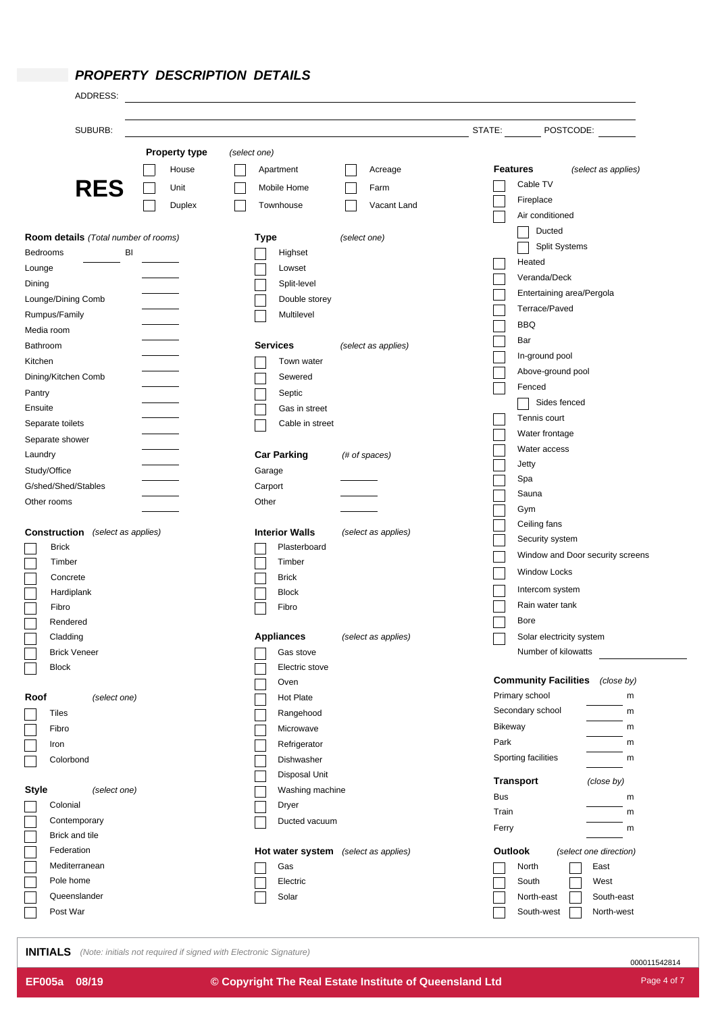### *PROPERTY DESCRIPTION DETAILS*

| SUBURB:<br>STATE:<br>POSTCODE:<br><b>Property type</b><br>(select one)<br><b>Features</b><br>(select as applies)<br>Apartment<br>Acreage<br>House<br>Cable TV<br><b>RES</b><br>Unit<br>Mobile Home<br>Farm<br>Fireplace<br>Vacant Land<br>Townhouse<br>Duplex<br>Air conditioned<br>Ducted<br>Room details (Total number of rooms)<br><b>Type</b><br>(select one)<br>Split Systems<br>BI<br>Highset<br>Bedrooms<br>Heated<br>Lounge<br>Lowset<br>Veranda/Deck<br>Dining<br>Split-level<br>Entertaining area/Pergola<br>Lounge/Dining Comb<br>Double storey<br>Terrace/Paved<br>Rumpus/Family<br>Multilevel<br>BBQ<br>Media room<br>Bar<br><b>Services</b><br>(select as applies)<br>Bathroom<br>In-ground pool<br>Kitchen<br>Town water<br>Above-ground pool<br>Dining/Kitchen Comb<br>Sewered<br>Fenced<br>Pantry<br>Septic<br>Sides fenced<br>Ensuite<br>Gas in street<br>Tennis court<br>Separate toilets<br>Cable in street<br>Water frontage<br>Separate shower<br>Water access<br><b>Car Parking</b><br>Laundry<br>(# of spaces)<br>Jetty<br>Study/Office<br>Garage<br>Spa<br>G/shed/Shed/Stables<br>Carport<br>Sauna<br>Other<br>Other rooms<br>Gym<br>Ceiling fans<br><b>Construction</b> (select as applies)<br><b>Interior Walls</b><br>(select as applies)<br>Security system<br><b>Brick</b><br>Plasterboard<br>Window and Door security screens<br>Timber<br>Timber<br><b>Window Locks</b><br>Concrete<br><b>Brick</b><br>Intercom system<br>Hardiplank<br><b>Block</b><br>Rain water tank<br>Fibro<br>Fibro<br><b>Bore</b><br>Rendered<br>Cladding<br><b>Appliances</b><br>(select as applies)<br>Solar electricity system<br>Number of kilowatts<br><b>Brick Veneer</b><br>Gas stove<br><b>Block</b><br>Electric stove<br><b>Community Facilities</b> (close by)<br>Oven<br>Primary school<br>m<br><b>Hot Plate</b><br>Roof<br>(select one)<br>Secondary school<br>m<br>Tiles<br>Rangehood<br><b>Bikeway</b><br>m<br>Fibro<br>Microwave<br>Park<br>m<br>Refrigerator<br>Iron<br>Sporting facilities<br>m<br>Colorbond<br>Dishwasher<br>Disposal Unit<br><b>Transport</b><br>(close by)<br><b>Style</b><br>(select one)<br>Washing machine<br>Bus<br>m<br>Colonial<br><b>Dryer</b><br>Train<br>m<br>Contemporary<br>Ducted vacuum<br>Ferry<br>m<br>Brick and tile<br>Federation<br>Outlook<br>Hot water system (select as applies)<br>(select one direction)<br>Mediterranean<br>Gas<br>East<br>North<br>Pole home<br>Electric<br>South<br>West<br>Queenslander<br>Solar<br>North-east<br>South-east<br>Post War<br>South-west<br>North-west | ADDRESS: |  |  |  |  |  |
|------------------------------------------------------------------------------------------------------------------------------------------------------------------------------------------------------------------------------------------------------------------------------------------------------------------------------------------------------------------------------------------------------------------------------------------------------------------------------------------------------------------------------------------------------------------------------------------------------------------------------------------------------------------------------------------------------------------------------------------------------------------------------------------------------------------------------------------------------------------------------------------------------------------------------------------------------------------------------------------------------------------------------------------------------------------------------------------------------------------------------------------------------------------------------------------------------------------------------------------------------------------------------------------------------------------------------------------------------------------------------------------------------------------------------------------------------------------------------------------------------------------------------------------------------------------------------------------------------------------------------------------------------------------------------------------------------------------------------------------------------------------------------------------------------------------------------------------------------------------------------------------------------------------------------------------------------------------------------------------------------------------------------------------------------------------------------------------------------------------------------------------------------------------------------------------------------------------------------------------------------------------------------------------------------------------------------------------------------------------------------------------------------------------------------------------------------------------------------------------------------------------------------------------------------------|----------|--|--|--|--|--|
|                                                                                                                                                                                                                                                                                                                                                                                                                                                                                                                                                                                                                                                                                                                                                                                                                                                                                                                                                                                                                                                                                                                                                                                                                                                                                                                                                                                                                                                                                                                                                                                                                                                                                                                                                                                                                                                                                                                                                                                                                                                                                                                                                                                                                                                                                                                                                                                                                                                                                                                                                            |          |  |  |  |  |  |
|                                                                                                                                                                                                                                                                                                                                                                                                                                                                                                                                                                                                                                                                                                                                                                                                                                                                                                                                                                                                                                                                                                                                                                                                                                                                                                                                                                                                                                                                                                                                                                                                                                                                                                                                                                                                                                                                                                                                                                                                                                                                                                                                                                                                                                                                                                                                                                                                                                                                                                                                                            |          |  |  |  |  |  |
|                                                                                                                                                                                                                                                                                                                                                                                                                                                                                                                                                                                                                                                                                                                                                                                                                                                                                                                                                                                                                                                                                                                                                                                                                                                                                                                                                                                                                                                                                                                                                                                                                                                                                                                                                                                                                                                                                                                                                                                                                                                                                                                                                                                                                                                                                                                                                                                                                                                                                                                                                            |          |  |  |  |  |  |
|                                                                                                                                                                                                                                                                                                                                                                                                                                                                                                                                                                                                                                                                                                                                                                                                                                                                                                                                                                                                                                                                                                                                                                                                                                                                                                                                                                                                                                                                                                                                                                                                                                                                                                                                                                                                                                                                                                                                                                                                                                                                                                                                                                                                                                                                                                                                                                                                                                                                                                                                                            |          |  |  |  |  |  |
|                                                                                                                                                                                                                                                                                                                                                                                                                                                                                                                                                                                                                                                                                                                                                                                                                                                                                                                                                                                                                                                                                                                                                                                                                                                                                                                                                                                                                                                                                                                                                                                                                                                                                                                                                                                                                                                                                                                                                                                                                                                                                                                                                                                                                                                                                                                                                                                                                                                                                                                                                            |          |  |  |  |  |  |
|                                                                                                                                                                                                                                                                                                                                                                                                                                                                                                                                                                                                                                                                                                                                                                                                                                                                                                                                                                                                                                                                                                                                                                                                                                                                                                                                                                                                                                                                                                                                                                                                                                                                                                                                                                                                                                                                                                                                                                                                                                                                                                                                                                                                                                                                                                                                                                                                                                                                                                                                                            |          |  |  |  |  |  |
|                                                                                                                                                                                                                                                                                                                                                                                                                                                                                                                                                                                                                                                                                                                                                                                                                                                                                                                                                                                                                                                                                                                                                                                                                                                                                                                                                                                                                                                                                                                                                                                                                                                                                                                                                                                                                                                                                                                                                                                                                                                                                                                                                                                                                                                                                                                                                                                                                                                                                                                                                            |          |  |  |  |  |  |
|                                                                                                                                                                                                                                                                                                                                                                                                                                                                                                                                                                                                                                                                                                                                                                                                                                                                                                                                                                                                                                                                                                                                                                                                                                                                                                                                                                                                                                                                                                                                                                                                                                                                                                                                                                                                                                                                                                                                                                                                                                                                                                                                                                                                                                                                                                                                                                                                                                                                                                                                                            |          |  |  |  |  |  |
|                                                                                                                                                                                                                                                                                                                                                                                                                                                                                                                                                                                                                                                                                                                                                                                                                                                                                                                                                                                                                                                                                                                                                                                                                                                                                                                                                                                                                                                                                                                                                                                                                                                                                                                                                                                                                                                                                                                                                                                                                                                                                                                                                                                                                                                                                                                                                                                                                                                                                                                                                            |          |  |  |  |  |  |
|                                                                                                                                                                                                                                                                                                                                                                                                                                                                                                                                                                                                                                                                                                                                                                                                                                                                                                                                                                                                                                                                                                                                                                                                                                                                                                                                                                                                                                                                                                                                                                                                                                                                                                                                                                                                                                                                                                                                                                                                                                                                                                                                                                                                                                                                                                                                                                                                                                                                                                                                                            |          |  |  |  |  |  |
|                                                                                                                                                                                                                                                                                                                                                                                                                                                                                                                                                                                                                                                                                                                                                                                                                                                                                                                                                                                                                                                                                                                                                                                                                                                                                                                                                                                                                                                                                                                                                                                                                                                                                                                                                                                                                                                                                                                                                                                                                                                                                                                                                                                                                                                                                                                                                                                                                                                                                                                                                            |          |  |  |  |  |  |
|                                                                                                                                                                                                                                                                                                                                                                                                                                                                                                                                                                                                                                                                                                                                                                                                                                                                                                                                                                                                                                                                                                                                                                                                                                                                                                                                                                                                                                                                                                                                                                                                                                                                                                                                                                                                                                                                                                                                                                                                                                                                                                                                                                                                                                                                                                                                                                                                                                                                                                                                                            |          |  |  |  |  |  |
|                                                                                                                                                                                                                                                                                                                                                                                                                                                                                                                                                                                                                                                                                                                                                                                                                                                                                                                                                                                                                                                                                                                                                                                                                                                                                                                                                                                                                                                                                                                                                                                                                                                                                                                                                                                                                                                                                                                                                                                                                                                                                                                                                                                                                                                                                                                                                                                                                                                                                                                                                            |          |  |  |  |  |  |
|                                                                                                                                                                                                                                                                                                                                                                                                                                                                                                                                                                                                                                                                                                                                                                                                                                                                                                                                                                                                                                                                                                                                                                                                                                                                                                                                                                                                                                                                                                                                                                                                                                                                                                                                                                                                                                                                                                                                                                                                                                                                                                                                                                                                                                                                                                                                                                                                                                                                                                                                                            |          |  |  |  |  |  |
|                                                                                                                                                                                                                                                                                                                                                                                                                                                                                                                                                                                                                                                                                                                                                                                                                                                                                                                                                                                                                                                                                                                                                                                                                                                                                                                                                                                                                                                                                                                                                                                                                                                                                                                                                                                                                                                                                                                                                                                                                                                                                                                                                                                                                                                                                                                                                                                                                                                                                                                                                            |          |  |  |  |  |  |
|                                                                                                                                                                                                                                                                                                                                                                                                                                                                                                                                                                                                                                                                                                                                                                                                                                                                                                                                                                                                                                                                                                                                                                                                                                                                                                                                                                                                                                                                                                                                                                                                                                                                                                                                                                                                                                                                                                                                                                                                                                                                                                                                                                                                                                                                                                                                                                                                                                                                                                                                                            |          |  |  |  |  |  |
|                                                                                                                                                                                                                                                                                                                                                                                                                                                                                                                                                                                                                                                                                                                                                                                                                                                                                                                                                                                                                                                                                                                                                                                                                                                                                                                                                                                                                                                                                                                                                                                                                                                                                                                                                                                                                                                                                                                                                                                                                                                                                                                                                                                                                                                                                                                                                                                                                                                                                                                                                            |          |  |  |  |  |  |
|                                                                                                                                                                                                                                                                                                                                                                                                                                                                                                                                                                                                                                                                                                                                                                                                                                                                                                                                                                                                                                                                                                                                                                                                                                                                                                                                                                                                                                                                                                                                                                                                                                                                                                                                                                                                                                                                                                                                                                                                                                                                                                                                                                                                                                                                                                                                                                                                                                                                                                                                                            |          |  |  |  |  |  |
|                                                                                                                                                                                                                                                                                                                                                                                                                                                                                                                                                                                                                                                                                                                                                                                                                                                                                                                                                                                                                                                                                                                                                                                                                                                                                                                                                                                                                                                                                                                                                                                                                                                                                                                                                                                                                                                                                                                                                                                                                                                                                                                                                                                                                                                                                                                                                                                                                                                                                                                                                            |          |  |  |  |  |  |
|                                                                                                                                                                                                                                                                                                                                                                                                                                                                                                                                                                                                                                                                                                                                                                                                                                                                                                                                                                                                                                                                                                                                                                                                                                                                                                                                                                                                                                                                                                                                                                                                                                                                                                                                                                                                                                                                                                                                                                                                                                                                                                                                                                                                                                                                                                                                                                                                                                                                                                                                                            |          |  |  |  |  |  |
|                                                                                                                                                                                                                                                                                                                                                                                                                                                                                                                                                                                                                                                                                                                                                                                                                                                                                                                                                                                                                                                                                                                                                                                                                                                                                                                                                                                                                                                                                                                                                                                                                                                                                                                                                                                                                                                                                                                                                                                                                                                                                                                                                                                                                                                                                                                                                                                                                                                                                                                                                            |          |  |  |  |  |  |
|                                                                                                                                                                                                                                                                                                                                                                                                                                                                                                                                                                                                                                                                                                                                                                                                                                                                                                                                                                                                                                                                                                                                                                                                                                                                                                                                                                                                                                                                                                                                                                                                                                                                                                                                                                                                                                                                                                                                                                                                                                                                                                                                                                                                                                                                                                                                                                                                                                                                                                                                                            |          |  |  |  |  |  |
|                                                                                                                                                                                                                                                                                                                                                                                                                                                                                                                                                                                                                                                                                                                                                                                                                                                                                                                                                                                                                                                                                                                                                                                                                                                                                                                                                                                                                                                                                                                                                                                                                                                                                                                                                                                                                                                                                                                                                                                                                                                                                                                                                                                                                                                                                                                                                                                                                                                                                                                                                            |          |  |  |  |  |  |
|                                                                                                                                                                                                                                                                                                                                                                                                                                                                                                                                                                                                                                                                                                                                                                                                                                                                                                                                                                                                                                                                                                                                                                                                                                                                                                                                                                                                                                                                                                                                                                                                                                                                                                                                                                                                                                                                                                                                                                                                                                                                                                                                                                                                                                                                                                                                                                                                                                                                                                                                                            |          |  |  |  |  |  |
|                                                                                                                                                                                                                                                                                                                                                                                                                                                                                                                                                                                                                                                                                                                                                                                                                                                                                                                                                                                                                                                                                                                                                                                                                                                                                                                                                                                                                                                                                                                                                                                                                                                                                                                                                                                                                                                                                                                                                                                                                                                                                                                                                                                                                                                                                                                                                                                                                                                                                                                                                            |          |  |  |  |  |  |
|                                                                                                                                                                                                                                                                                                                                                                                                                                                                                                                                                                                                                                                                                                                                                                                                                                                                                                                                                                                                                                                                                                                                                                                                                                                                                                                                                                                                                                                                                                                                                                                                                                                                                                                                                                                                                                                                                                                                                                                                                                                                                                                                                                                                                                                                                                                                                                                                                                                                                                                                                            |          |  |  |  |  |  |
|                                                                                                                                                                                                                                                                                                                                                                                                                                                                                                                                                                                                                                                                                                                                                                                                                                                                                                                                                                                                                                                                                                                                                                                                                                                                                                                                                                                                                                                                                                                                                                                                                                                                                                                                                                                                                                                                                                                                                                                                                                                                                                                                                                                                                                                                                                                                                                                                                                                                                                                                                            |          |  |  |  |  |  |
|                                                                                                                                                                                                                                                                                                                                                                                                                                                                                                                                                                                                                                                                                                                                                                                                                                                                                                                                                                                                                                                                                                                                                                                                                                                                                                                                                                                                                                                                                                                                                                                                                                                                                                                                                                                                                                                                                                                                                                                                                                                                                                                                                                                                                                                                                                                                                                                                                                                                                                                                                            |          |  |  |  |  |  |
|                                                                                                                                                                                                                                                                                                                                                                                                                                                                                                                                                                                                                                                                                                                                                                                                                                                                                                                                                                                                                                                                                                                                                                                                                                                                                                                                                                                                                                                                                                                                                                                                                                                                                                                                                                                                                                                                                                                                                                                                                                                                                                                                                                                                                                                                                                                                                                                                                                                                                                                                                            |          |  |  |  |  |  |
|                                                                                                                                                                                                                                                                                                                                                                                                                                                                                                                                                                                                                                                                                                                                                                                                                                                                                                                                                                                                                                                                                                                                                                                                                                                                                                                                                                                                                                                                                                                                                                                                                                                                                                                                                                                                                                                                                                                                                                                                                                                                                                                                                                                                                                                                                                                                                                                                                                                                                                                                                            |          |  |  |  |  |  |
|                                                                                                                                                                                                                                                                                                                                                                                                                                                                                                                                                                                                                                                                                                                                                                                                                                                                                                                                                                                                                                                                                                                                                                                                                                                                                                                                                                                                                                                                                                                                                                                                                                                                                                                                                                                                                                                                                                                                                                                                                                                                                                                                                                                                                                                                                                                                                                                                                                                                                                                                                            |          |  |  |  |  |  |
|                                                                                                                                                                                                                                                                                                                                                                                                                                                                                                                                                                                                                                                                                                                                                                                                                                                                                                                                                                                                                                                                                                                                                                                                                                                                                                                                                                                                                                                                                                                                                                                                                                                                                                                                                                                                                                                                                                                                                                                                                                                                                                                                                                                                                                                                                                                                                                                                                                                                                                                                                            |          |  |  |  |  |  |
|                                                                                                                                                                                                                                                                                                                                                                                                                                                                                                                                                                                                                                                                                                                                                                                                                                                                                                                                                                                                                                                                                                                                                                                                                                                                                                                                                                                                                                                                                                                                                                                                                                                                                                                                                                                                                                                                                                                                                                                                                                                                                                                                                                                                                                                                                                                                                                                                                                                                                                                                                            |          |  |  |  |  |  |
|                                                                                                                                                                                                                                                                                                                                                                                                                                                                                                                                                                                                                                                                                                                                                                                                                                                                                                                                                                                                                                                                                                                                                                                                                                                                                                                                                                                                                                                                                                                                                                                                                                                                                                                                                                                                                                                                                                                                                                                                                                                                                                                                                                                                                                                                                                                                                                                                                                                                                                                                                            |          |  |  |  |  |  |
|                                                                                                                                                                                                                                                                                                                                                                                                                                                                                                                                                                                                                                                                                                                                                                                                                                                                                                                                                                                                                                                                                                                                                                                                                                                                                                                                                                                                                                                                                                                                                                                                                                                                                                                                                                                                                                                                                                                                                                                                                                                                                                                                                                                                                                                                                                                                                                                                                                                                                                                                                            |          |  |  |  |  |  |
|                                                                                                                                                                                                                                                                                                                                                                                                                                                                                                                                                                                                                                                                                                                                                                                                                                                                                                                                                                                                                                                                                                                                                                                                                                                                                                                                                                                                                                                                                                                                                                                                                                                                                                                                                                                                                                                                                                                                                                                                                                                                                                                                                                                                                                                                                                                                                                                                                                                                                                                                                            |          |  |  |  |  |  |
|                                                                                                                                                                                                                                                                                                                                                                                                                                                                                                                                                                                                                                                                                                                                                                                                                                                                                                                                                                                                                                                                                                                                                                                                                                                                                                                                                                                                                                                                                                                                                                                                                                                                                                                                                                                                                                                                                                                                                                                                                                                                                                                                                                                                                                                                                                                                                                                                                                                                                                                                                            |          |  |  |  |  |  |
|                                                                                                                                                                                                                                                                                                                                                                                                                                                                                                                                                                                                                                                                                                                                                                                                                                                                                                                                                                                                                                                                                                                                                                                                                                                                                                                                                                                                                                                                                                                                                                                                                                                                                                                                                                                                                                                                                                                                                                                                                                                                                                                                                                                                                                                                                                                                                                                                                                                                                                                                                            |          |  |  |  |  |  |
|                                                                                                                                                                                                                                                                                                                                                                                                                                                                                                                                                                                                                                                                                                                                                                                                                                                                                                                                                                                                                                                                                                                                                                                                                                                                                                                                                                                                                                                                                                                                                                                                                                                                                                                                                                                                                                                                                                                                                                                                                                                                                                                                                                                                                                                                                                                                                                                                                                                                                                                                                            |          |  |  |  |  |  |
|                                                                                                                                                                                                                                                                                                                                                                                                                                                                                                                                                                                                                                                                                                                                                                                                                                                                                                                                                                                                                                                                                                                                                                                                                                                                                                                                                                                                                                                                                                                                                                                                                                                                                                                                                                                                                                                                                                                                                                                                                                                                                                                                                                                                                                                                                                                                                                                                                                                                                                                                                            |          |  |  |  |  |  |
|                                                                                                                                                                                                                                                                                                                                                                                                                                                                                                                                                                                                                                                                                                                                                                                                                                                                                                                                                                                                                                                                                                                                                                                                                                                                                                                                                                                                                                                                                                                                                                                                                                                                                                                                                                                                                                                                                                                                                                                                                                                                                                                                                                                                                                                                                                                                                                                                                                                                                                                                                            |          |  |  |  |  |  |
|                                                                                                                                                                                                                                                                                                                                                                                                                                                                                                                                                                                                                                                                                                                                                                                                                                                                                                                                                                                                                                                                                                                                                                                                                                                                                                                                                                                                                                                                                                                                                                                                                                                                                                                                                                                                                                                                                                                                                                                                                                                                                                                                                                                                                                                                                                                                                                                                                                                                                                                                                            |          |  |  |  |  |  |
|                                                                                                                                                                                                                                                                                                                                                                                                                                                                                                                                                                                                                                                                                                                                                                                                                                                                                                                                                                                                                                                                                                                                                                                                                                                                                                                                                                                                                                                                                                                                                                                                                                                                                                                                                                                                                                                                                                                                                                                                                                                                                                                                                                                                                                                                                                                                                                                                                                                                                                                                                            |          |  |  |  |  |  |
|                                                                                                                                                                                                                                                                                                                                                                                                                                                                                                                                                                                                                                                                                                                                                                                                                                                                                                                                                                                                                                                                                                                                                                                                                                                                                                                                                                                                                                                                                                                                                                                                                                                                                                                                                                                                                                                                                                                                                                                                                                                                                                                                                                                                                                                                                                                                                                                                                                                                                                                                                            |          |  |  |  |  |  |
|                                                                                                                                                                                                                                                                                                                                                                                                                                                                                                                                                                                                                                                                                                                                                                                                                                                                                                                                                                                                                                                                                                                                                                                                                                                                                                                                                                                                                                                                                                                                                                                                                                                                                                                                                                                                                                                                                                                                                                                                                                                                                                                                                                                                                                                                                                                                                                                                                                                                                                                                                            |          |  |  |  |  |  |
|                                                                                                                                                                                                                                                                                                                                                                                                                                                                                                                                                                                                                                                                                                                                                                                                                                                                                                                                                                                                                                                                                                                                                                                                                                                                                                                                                                                                                                                                                                                                                                                                                                                                                                                                                                                                                                                                                                                                                                                                                                                                                                                                                                                                                                                                                                                                                                                                                                                                                                                                                            |          |  |  |  |  |  |
|                                                                                                                                                                                                                                                                                                                                                                                                                                                                                                                                                                                                                                                                                                                                                                                                                                                                                                                                                                                                                                                                                                                                                                                                                                                                                                                                                                                                                                                                                                                                                                                                                                                                                                                                                                                                                                                                                                                                                                                                                                                                                                                                                                                                                                                                                                                                                                                                                                                                                                                                                            |          |  |  |  |  |  |
|                                                                                                                                                                                                                                                                                                                                                                                                                                                                                                                                                                                                                                                                                                                                                                                                                                                                                                                                                                                                                                                                                                                                                                                                                                                                                                                                                                                                                                                                                                                                                                                                                                                                                                                                                                                                                                                                                                                                                                                                                                                                                                                                                                                                                                                                                                                                                                                                                                                                                                                                                            |          |  |  |  |  |  |
|                                                                                                                                                                                                                                                                                                                                                                                                                                                                                                                                                                                                                                                                                                                                                                                                                                                                                                                                                                                                                                                                                                                                                                                                                                                                                                                                                                                                                                                                                                                                                                                                                                                                                                                                                                                                                                                                                                                                                                                                                                                                                                                                                                                                                                                                                                                                                                                                                                                                                                                                                            |          |  |  |  |  |  |
|                                                                                                                                                                                                                                                                                                                                                                                                                                                                                                                                                                                                                                                                                                                                                                                                                                                                                                                                                                                                                                                                                                                                                                                                                                                                                                                                                                                                                                                                                                                                                                                                                                                                                                                                                                                                                                                                                                                                                                                                                                                                                                                                                                                                                                                                                                                                                                                                                                                                                                                                                            |          |  |  |  |  |  |
|                                                                                                                                                                                                                                                                                                                                                                                                                                                                                                                                                                                                                                                                                                                                                                                                                                                                                                                                                                                                                                                                                                                                                                                                                                                                                                                                                                                                                                                                                                                                                                                                                                                                                                                                                                                                                                                                                                                                                                                                                                                                                                                                                                                                                                                                                                                                                                                                                                                                                                                                                            |          |  |  |  |  |  |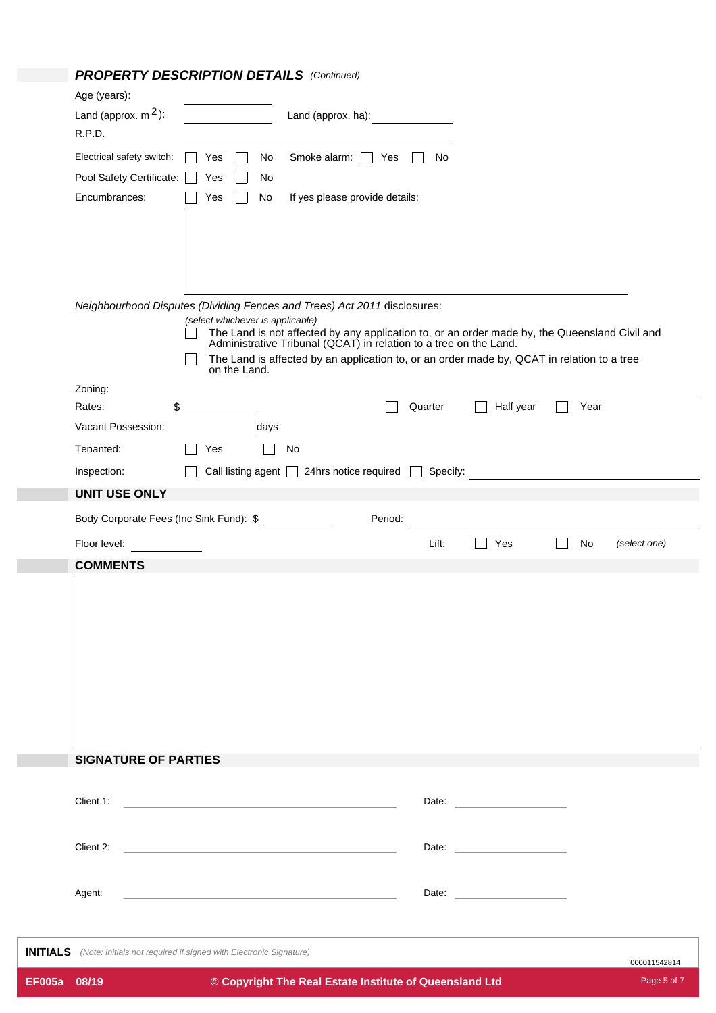## *PROPERTY DESCRIPTION DETAILS (Continued)*

|                 | Age (years):                                                                                                                                                    |  |              |                                  |    |                                                                            |         |                                                         |                                                                                            |      |              |
|-----------------|-----------------------------------------------------------------------------------------------------------------------------------------------------------------|--|--------------|----------------------------------|----|----------------------------------------------------------------------------|---------|---------------------------------------------------------|--------------------------------------------------------------------------------------------|------|--------------|
|                 | Land (approx. $m^2$ ):                                                                                                                                          |  |              |                                  |    | Land (approx. ha):                                                         |         |                                                         |                                                                                            |      |              |
|                 | R.P.D.                                                                                                                                                          |  |              |                                  |    |                                                                            |         |                                                         |                                                                                            |      |              |
|                 | Electrical safety switch:                                                                                                                                       |  | Yes          | No                               |    | Smoke alarm:                                                               | Yes     | No                                                      |                                                                                            |      |              |
|                 | Pool Safety Certificate:                                                                                                                                        |  | Yes          | No                               |    |                                                                            |         |                                                         |                                                                                            |      |              |
|                 | Encumbrances:                                                                                                                                                   |  | Yes          | No                               |    | If yes please provide details:                                             |         |                                                         |                                                                                            |      |              |
|                 |                                                                                                                                                                 |  |              |                                  |    |                                                                            |         |                                                         |                                                                                            |      |              |
|                 |                                                                                                                                                                 |  |              |                                  |    |                                                                            |         |                                                         |                                                                                            |      |              |
|                 |                                                                                                                                                                 |  |              |                                  |    |                                                                            |         |                                                         |                                                                                            |      |              |
|                 |                                                                                                                                                                 |  |              |                                  |    |                                                                            |         |                                                         |                                                                                            |      |              |
|                 | Neighbourhood Disputes (Dividing Fences and Trees) Act 2011 disclosures:                                                                                        |  |              |                                  |    |                                                                            |         |                                                         |                                                                                            |      |              |
|                 |                                                                                                                                                                 |  |              | (select whichever is applicable) |    |                                                                            |         |                                                         |                                                                                            |      |              |
|                 | The Land is not affected by any application to, or an order made by, the Queensland Civil and Administrative Tribunal (QCAT) in relation to a tree on the Land. |  |              |                                  |    |                                                                            |         |                                                         |                                                                                            |      |              |
|                 |                                                                                                                                                                 |  |              |                                  |    |                                                                            |         |                                                         | The Land is affected by an application to, or an order made by, QCAT in relation to a tree |      |              |
|                 |                                                                                                                                                                 |  | on the Land. |                                  |    |                                                                            |         |                                                         |                                                                                            |      |              |
|                 | Zoning:<br>\$<br>Rates:                                                                                                                                         |  |              |                                  |    |                                                                            |         | <b>Quarter</b>                                          | Half year                                                                                  | Year |              |
|                 | Vacant Possession:                                                                                                                                              |  |              |                                  |    |                                                                            |         |                                                         |                                                                                            |      |              |
|                 |                                                                                                                                                                 |  |              | days                             |    |                                                                            |         |                                                         |                                                                                            |      |              |
|                 | Tenanted:                                                                                                                                                       |  | Yes          |                                  | No |                                                                            |         |                                                         |                                                                                            |      |              |
|                 | Inspection:                                                                                                                                                     |  |              | Call listing agent               |    | 24hrs notice required                                                      |         | Specify:                                                |                                                                                            |      |              |
|                 | <b>UNIT USE ONLY</b>                                                                                                                                            |  |              |                                  |    |                                                                            |         |                                                         |                                                                                            |      |              |
|                 | Body Corporate Fees (Inc Sink Fund): \$                                                                                                                         |  |              |                                  |    |                                                                            | Period: |                                                         |                                                                                            |      |              |
|                 | Floor level:                                                                                                                                                    |  |              |                                  |    |                                                                            |         | Lift:                                                   | Yes                                                                                        | No   | (select one) |
|                 | <b>COMMENTS</b>                                                                                                                                                 |  |              |                                  |    |                                                                            |         |                                                         |                                                                                            |      |              |
|                 |                                                                                                                                                                 |  |              |                                  |    |                                                                            |         |                                                         |                                                                                            |      |              |
|                 |                                                                                                                                                                 |  |              |                                  |    |                                                                            |         |                                                         |                                                                                            |      |              |
|                 |                                                                                                                                                                 |  |              |                                  |    |                                                                            |         |                                                         |                                                                                            |      |              |
|                 |                                                                                                                                                                 |  |              |                                  |    |                                                                            |         |                                                         |                                                                                            |      |              |
|                 |                                                                                                                                                                 |  |              |                                  |    |                                                                            |         |                                                         |                                                                                            |      |              |
|                 |                                                                                                                                                                 |  |              |                                  |    |                                                                            |         |                                                         |                                                                                            |      |              |
|                 |                                                                                                                                                                 |  |              |                                  |    |                                                                            |         |                                                         |                                                                                            |      |              |
|                 |                                                                                                                                                                 |  |              |                                  |    |                                                                            |         |                                                         |                                                                                            |      |              |
|                 |                                                                                                                                                                 |  |              |                                  |    |                                                                            |         |                                                         |                                                                                            |      |              |
|                 | <b>SIGNATURE OF PARTIES</b>                                                                                                                                     |  |              |                                  |    |                                                                            |         |                                                         |                                                                                            |      |              |
|                 |                                                                                                                                                                 |  |              |                                  |    |                                                                            |         |                                                         |                                                                                            |      |              |
|                 | Client 1:                                                                                                                                                       |  |              |                                  |    | the control of the control of the control of the control of the control of |         |                                                         | Date: Date:                                                                                |      |              |
|                 |                                                                                                                                                                 |  |              |                                  |    |                                                                            |         |                                                         |                                                                                            |      |              |
|                 | Client 2:<br><u> 1989 - Andrea Stadt Britain, amerikansk politiker (d. 1989)</u>                                                                                |  |              |                                  |    |                                                                            |         |                                                         |                                                                                            |      |              |
|                 |                                                                                                                                                                 |  |              |                                  |    |                                                                            |         |                                                         |                                                                                            |      |              |
|                 | Agent:                                                                                                                                                          |  |              |                                  |    |                                                                            |         |                                                         |                                                                                            |      |              |
|                 |                                                                                                                                                                 |  |              |                                  |    |                                                                            |         |                                                         |                                                                                            |      |              |
|                 |                                                                                                                                                                 |  |              |                                  |    |                                                                            |         |                                                         |                                                                                            |      |              |
| <b>INITIALS</b> | (Note: initials not required if signed with Electronic Signature)                                                                                               |  |              |                                  |    |                                                                            |         |                                                         |                                                                                            |      | 000011542814 |
| <b>EF005a</b>   | 08/19                                                                                                                                                           |  |              |                                  |    |                                                                            |         | © Copyright The Real Estate Institute of Queensland Ltd |                                                                                            |      | Page 5 of 7  |
|                 |                                                                                                                                                                 |  |              |                                  |    |                                                                            |         |                                                         |                                                                                            |      |              |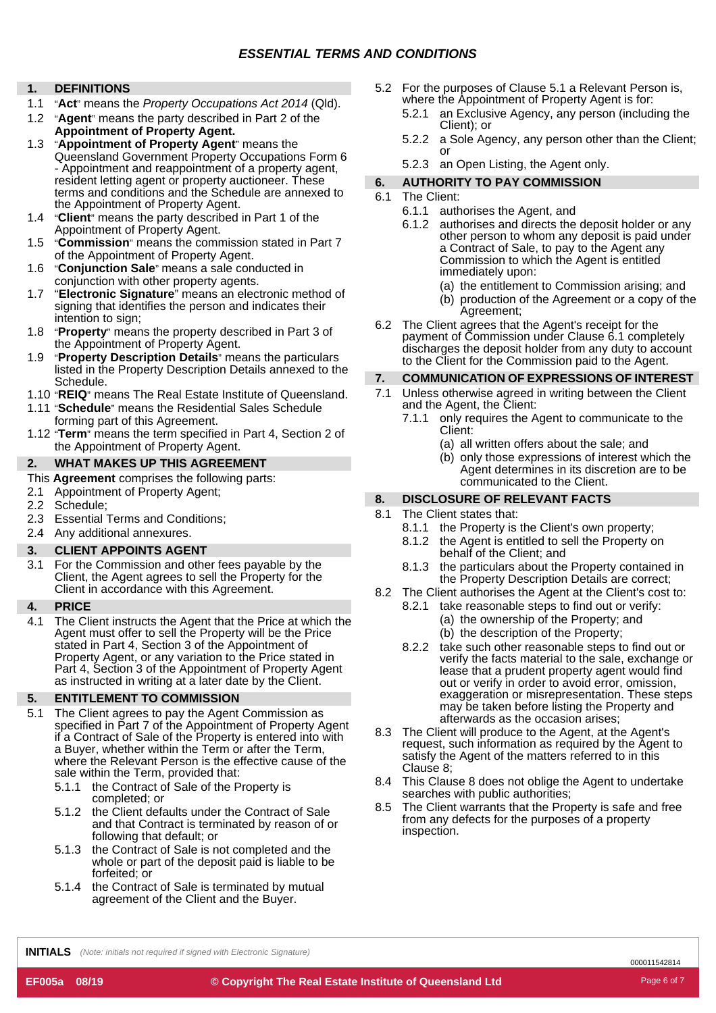#### **1. DEFINITIONS**

- 1.1 "**Act**" means the *Property Occupations Act 2014* (Qld).
- 1.2 "**Agent**" means the party described in Part 2 of the **Appointment of Property Agent.**
- 1.3 "**Appointment of Property Agent**" means the Queensland Government Property Occupations Form 6 - Appointment and reappointment of a property agent, resident letting agent or property auctioneer. These terms and conditions and the Schedule are annexed to terms and conditions and the Schedule are annexed to  $6.1$  The Client:<br>the Appointment of Property Agent.
- 1.4 "**Client**" means the party described in Part 1 of the Appointment of Property Agent.
- 1.5 "**Commission**" means the commission stated in Part 7 of the Appointment of Property Agent.
- 1.6 "**Conjunction Sale**" means a sale conducted in conjunction with other property agents.
- "**Electronic Signature**" means an electronic method of signing that identifies the person and indicates their intention to sign; 1.7
- 1.8 "**Property**" means the property described in Part 3 of the Appointment of Property Agent.
- 1.9 "**Property Description Details**" means the particulars listed in the Property Description Details annexed to the Schedule. **7.**
- 
- 1.11 "Schedule" means the Residential Sales Schedule
- forming part of this Agreement.<br>1.12 "**Term**" means the term specified in Part 4, Section 2 of Client: the Appointment of Property Agent.

#### **WHAT MAKES UP THIS AGREEMENT**

- This **Agreement** comprises the following parts:<br>communicated to the Client.
- 2.1 Appointment of Property Agent;
- 2.2
- **8. DISCLOSURE OF RE**<br>
Schedule; **8. BISCLOSURE OF RE**<br>
Essential Terms and Conditions; **8.1** The Client states that: 2.3
- 2.4 Any additional annexures.

3.1 For the Commission and other fees payable by the Client, the Agent agrees to sell the Property for the Client in accordance with this Agreement.

#### **PRICE**

The Client instructs the Agent that the Price at which the Agent must offer to sell the Property will be the Price stated in Part 4, Section 3 of the Appointment of Property Agent, or any variation to the Price stated in Part 4, Section 3 of the Appointment of Property Agent as instructed in writing at a later date by the Client. 4.1

#### **5. ENTITLEMENT TO COMMISSION**

- 5.1 The Client agrees to pay the Agent Commission as specified in Part 7 of the Appointment of Property Agent if a Contract of Sale of the Property is entered into with where the Relevant Person is the effective cause of the sale within the Term, provided that:
	- 5.1.1 the Contract of Sale of the Property is completed; or
	- 5.1.2 the Client defaults under the Contract of Sale and that Contract is terminated by reason of or following that default; or
	- the Contract of Sale is not completed and the whole or part of the deposit paid is liable to be forfeited; or 5.1.3
	- 5.1.4 the Contract of Sale is terminated by mutual agreement of the Client and the Buyer.
- 5.2 For the purposes of Clause 5.1 a Relevant Person is, where the Appointment of Property Agent is for:
	- 5.2.1 an Exclusive Agency, any person (including the Client); or
	- 5.2.2 a Sole Agency, any person other than the Client; or
	- 5.2.3 an Open Listing, the Agent only.

#### **6. AUTHORITY TO PAY COMMISSION**

- 6.1
	- 6.1.1 authorises the Agent, and
	- authorises and directs the deposit holder or any other person to whom any deposit is paid under a Contract of Sale, to pay to the Agent any Commission to which the Agent is entitled immediately upon: 6.1.2
		- (a) the entitlement to Commission arising; and
		- (b) production of the Agreement or a copy of the Agreement;
- 6.2 The Client agrees that the Agent's receipt for the payment of Commission under Clause 6.1 completely discharges the deposit holder from any duty to account to the Client for the Commission paid to the Agent.

### **COMMUNICATION OF EXPRESSIONS OF INTEREST**

- 1.10 "**REIQ**" means The Real Estate Institute of Queensland. 7.1 Unless otherwise agreed in writing between the Client 2.11 "Schedule" means the Pesidential Sales Schedule and the Agent. the Client: 7.1
	- forming part of this Agreement. The Contraction of the Agent to communicate to the
		- (a) all written offers about the sale; and
- **2.** WHAT MAKES UP THIS AGREEMENT (b) only those expressions of interest which the Agent determines in its discretion are to be

#### **DISCLOSURE OF RELEVANT FACTS**

- 8.1
- Econidational annexures.<br>Any additional annexures.
- the Agent is entitled to sell the Property on<br>behalf of the Client; and **3.** behalf of the Client; and **CLIENT APPOINTS AGENT** 8.1.2
	- the particulars about the Property contained in the Property Description Details are correct; 8.1.3
	- The Client authorises the Agent at the Client's cost to: 8.2
- **4.** take reasonable steps to find out or verify: 8.2.1 (a) the ownership of the Property; and (b) the description of the Property;
	- 8.2.2 take such other reasonable steps to find out or verify the facts material to the sale, exchange or lease that a prudent property agent would find out or verify in order to avoid error, omission, exaggeration or misrepresentation. These steps may be taken before listing the Property and afterwards as the occasion arises;
	- 8.3 The Client will produce to the Agent, at the Agent's request, such information as required by the Agent to satisfy the Agent of the matters referred to in this Clause 8;
	- This Clause 8 does not oblige the Agent to undertake 8.4 searches with public authorities;
	- The Client warrants that the Property is safe and free from any defects for the purposes of a property inspection. 8.5

**INITIALS** *(Note: initials not required if signed with Electronic Signature)*

000011542814